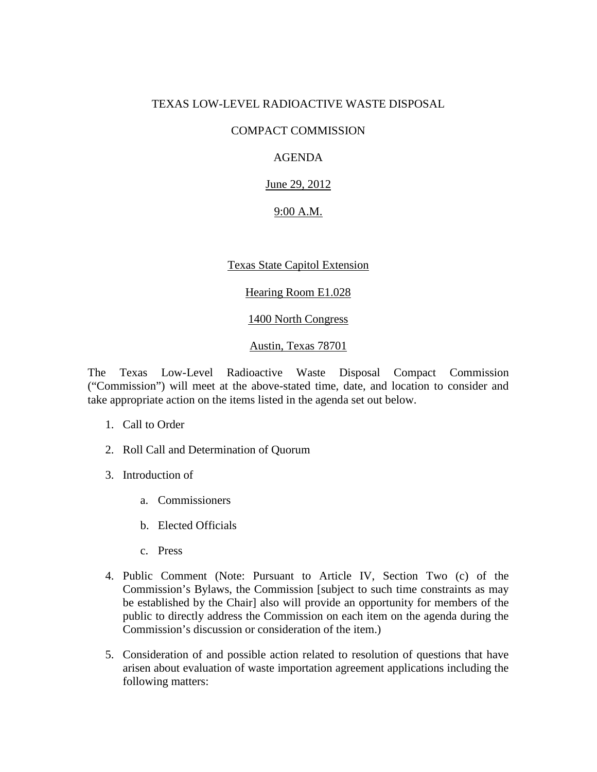# TEXAS LOW-LEVEL RADIOACTIVE WASTE DISPOSAL

## COMPACT COMMISSION

## AGENDA

## June 29, 2012

#### 9:00 A.M.

#### Texas State Capitol Extension

#### Hearing Room E1.028

#### 1400 North Congress

#### Austin, Texas 78701

The Texas Low-Level Radioactive Waste Disposal Compact Commission ("Commission") will meet at the above-stated time, date, and location to consider and take appropriate action on the items listed in the agenda set out below.

- 1. Call to Order
- 2. Roll Call and Determination of Quorum
- 3. Introduction of
	- a. Commissioners
	- b. Elected Officials
	- c. Press
- 4. Public Comment (Note: Pursuant to Article IV, Section Two (c) of the Commission's Bylaws, the Commission [subject to such time constraints as may be established by the Chair] also will provide an opportunity for members of the public to directly address the Commission on each item on the agenda during the Commission's discussion or consideration of the item.)
- 5. Consideration of and possible action related to resolution of questions that have arisen about evaluation of waste importation agreement applications including the following matters: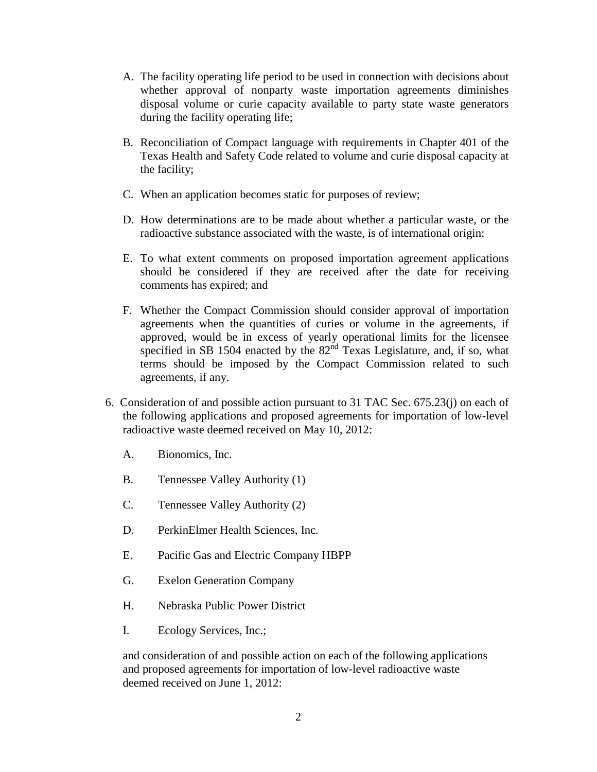- A. The facility operating life period to be used in connection with decisions about whether approval of nonparty waste importation agreements diminishes disposal volume or curie capacity available to party state waste generators during the facility operating life;
- B. Reconciliation of Compact language with requirements in Chapter 401 of the Texas Health and Safety Code related to volume and curie disposal capacity at the facility;
- C. When an application becomes static for purposes of review;
- D. How determinations are to be made about whether a particular waste, or the radioactive substance associated with the waste, is of international origin;
- E. To what extent comments on proposed importation agreement applications should be considered if they are received after the date for receiving comments has expired; and
- F. Whether the Compact Commission should consider approval of importation agreements when the quantities of curies or volume in the agreements, if approved, would be in excess of yearly operational limits for the licensee specified in SB 1504 enacted by the 82<sup>nd</sup> Texas Legislature, and, if so, what terms should be imposed by the Compact Commission related to such agreements, if any.
- 6. Consideration of and possible action pursuant to 31 TAC Sec. 675.23(j) on each of the following applications and proposed agreements for importation of low-level radioactive waste deemed received on May 10, 2012:
	- A. Bionomics, Inc.
	- B. Tennessee Valley Authority (1)
	- C. Tennessee Valley Authority (2)
	- D. PerkinElmer Health Sciences, Inc.
	- E. Pacific Gas and Electric Company HBPP
	- G. Exelon Generation Company
	- H. Nebraska Public Power District
	- I. Ecology Services, Inc.;

and consideration of and possible action on each of the following applications and proposed agreements for importation of low-level radioactive waste deemed received on June 1, 2012: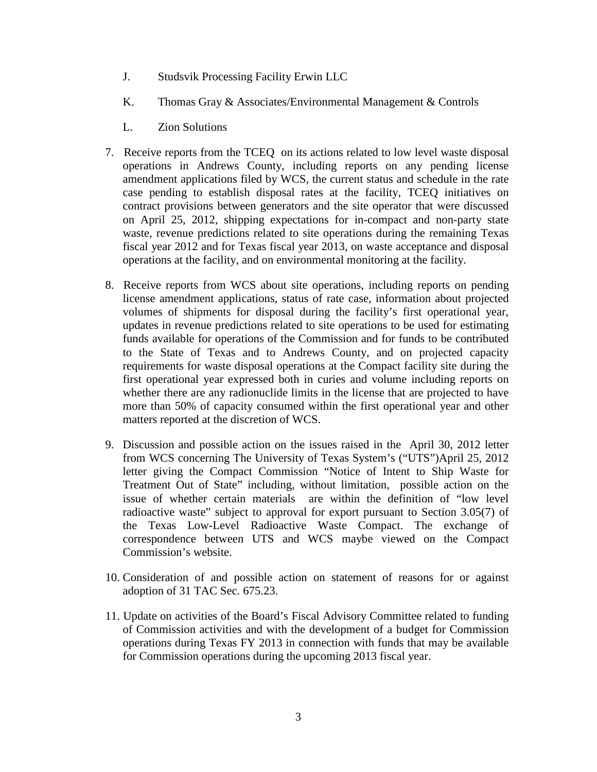- J. Studsvik Processing Facility Erwin LLC
- K. Thomas Gray & Associates/Environmental Management & Controls
- L. Zion Solutions
- 7. Receive reports from the TCEQ on its actions related to low level waste disposal operations in Andrews County, including reports on any pending license amendment applications filed by WCS, the current status and schedule in the rate case pending to establish disposal rates at the facility, TCEQ initiatives on contract provisions between generators and the site operator that were discussed on April 25, 2012, shipping expectations for in-compact and non-party state waste, revenue predictions related to site operations during the remaining Texas fiscal year 2012 and for Texas fiscal year 2013, on waste acceptance and disposal operations at the facility, and on environmental monitoring at the facility.
- 8. Receive reports from WCS about site operations, including reports on pending license amendment applications, status of rate case, information about projected volumes of shipments for disposal during the facility's first operational year, updates in revenue predictions related to site operations to be used for estimating funds available for operations of the Commission and for funds to be contributed to the State of Texas and to Andrews County, and on projected capacity requirements for waste disposal operations at the Compact facility site during the first operational year expressed both in curies and volume including reports on whether there are any radionuclide limits in the license that are projected to have more than 50% of capacity consumed within the first operational year and other matters reported at the discretion of WCS.
- 9. Discussion and possible action on the issues raised in the April 30, 2012 letter from WCS concerning The University of Texas System's ("UTS")April 25, 2012 letter giving the Compact Commission "Notice of Intent to Ship Waste for Treatment Out of State" including, without limitation, possible action on the issue of whether certain materials are within the definition of "low level radioactive waste" subject to approval for export pursuant to Section 3.05(7) of the Texas Low-Level Radioactive Waste Compact. The exchange of correspondence between UTS and WCS maybe viewed on the Compact Commission's website.
- 10. Consideration of and possible action on statement of reasons for or against adoption of 31 TAC Sec. 675.23.
- 11. Update on activities of the Board's Fiscal Advisory Committee related to funding of Commission activities and with the development of a budget for Commission operations during Texas FY 2013 in connection with funds that may be available for Commission operations during the upcoming 2013 fiscal year.